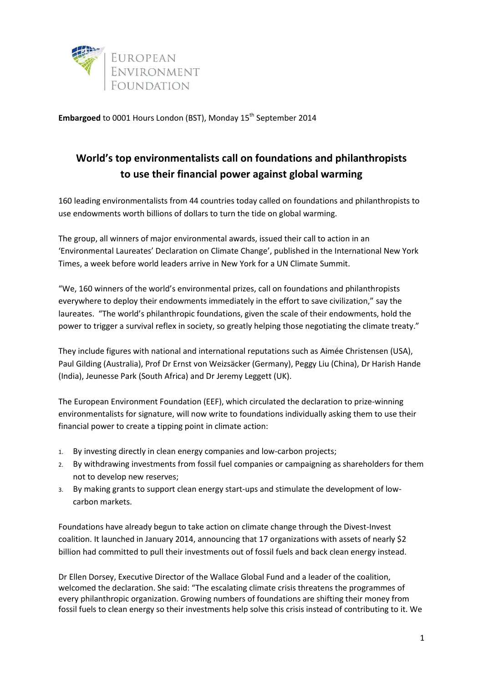

Embargoed to 0001 Hours London (BST), Monday 15<sup>th</sup> September 2014

# **World's top environmentalists call on foundations and philanthropists to use their financial power against global warming**

160 leading environmentalists from 44 countries today called on foundations and philanthropists to use endowments worth billions of dollars to turn the tide on global warming.

The group, all winners of major environmental awards, issued their call to action in an 'Environmental Laureates' Declaration on Climate Change', published in the International New York Times, a week before world leaders arrive in New York for a UN Climate Summit.

"We, 160 winners of the world's environmental prizes, call on foundations and philanthropists everywhere to deploy their endowments immediately in the effort to save civilization," say the laureates. "The world's philanthropic foundations, given the scale of their endowments, hold the power to trigger a survival reflex in society, so greatly helping those negotiating the climate treaty."

They include figures with national and international reputations such as Aimée Christensen (USA), Paul Gilding (Australia), Prof Dr Ernst von Weizsäcker (Germany), Peggy Liu (China), Dr Harish Hande (India), Jeunesse Park (South Africa) and Dr Jeremy Leggett (UK).

The European Environment Foundation (EEF), which circulated the declaration to prize-winning environmentalists for signature, will now write to foundations individually asking them to use their financial power to create a tipping point in climate action:

- 1. By investing directly in clean energy companies and low-carbon projects;
- 2. By withdrawing investments from fossil fuel companies or campaigning as shareholders for them not to develop new reserves;
- 3. By making grants to support clean energy start-ups and stimulate the development of lowcarbon markets.

Foundations have already begun to take action on climate change through the Divest-Invest coalition. It launched in January 2014, announcing that 17 organizations with assets of nearly \$2 billion had committed to pull their investments out of fossil fuels and back clean energy instead.

Dr Ellen Dorsey, Executive Director of the Wallace Global Fund and a leader of the coalition, welcomed the declaration. She said: "The escalating climate crisis threatens the programmes of every philanthropic organization. Growing numbers of foundations are shifting their money from fossil fuels to clean energy so their investments help solve this crisis instead of contributing to it. We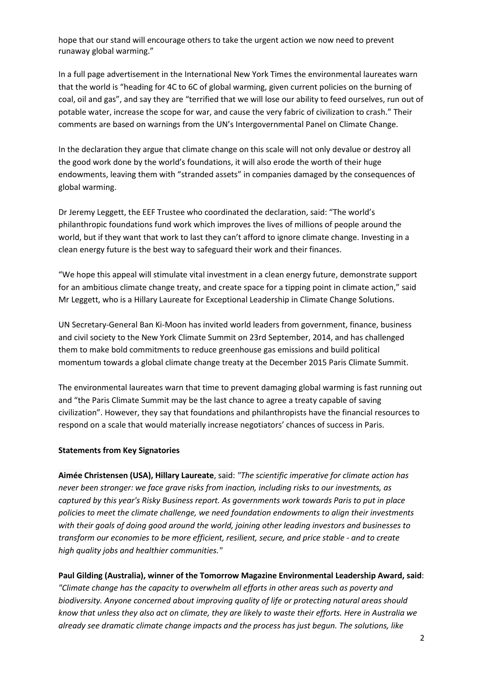hope that our stand will encourage others to take the urgent action we now need to prevent runaway global warming."

In a full page advertisement in the International New York Times the environmental laureates warn that the world is "heading for 4C to 6C of global warming, given current policies on the burning of coal, oil and gas", and say they are "terrified that we will lose our ability to feed ourselves, run out of potable water, increase the scope for war, and cause the very fabric of civilization to crash." Their comments are based on warnings from the UN's Intergovernmental Panel on Climate Change.

In the declaration they argue that climate change on this scale will not only devalue or destroy all the good work done by the world's foundations, it will also erode the worth of their huge endowments, leaving them with "stranded assets" in companies damaged by the consequences of global warming.

Dr Jeremy Leggett, the EEF Trustee who coordinated the declaration, said: "The world's philanthropic foundations fund work which improves the lives of millions of people around the world, but if they want that work to last they can't afford to ignore climate change. Investing in a clean energy future is the best way to safeguard their work and their finances.

"We hope this appeal will stimulate vital investment in a clean energy future, demonstrate support for an ambitious climate change treaty, and create space for a tipping point in climate action," said Mr Leggett, who is a Hillary Laureate for Exceptional Leadership in Climate Change Solutions.

UN Secretary-General Ban Ki-Moon has invited world leaders from government, finance, business and civil society to the New York Climate Summit on 23rd September, 2014, and has challenged them to make bold commitments to reduce greenhouse gas emissions and build political momentum towards a global climate change treaty at the December 2015 Paris Climate Summit.

The environmental laureates warn that time to prevent damaging global warming is fast running out and "the Paris Climate Summit may be the last chance to agree a treaty capable of saving civilization". However, they say that foundations and philanthropists have the financial resources to respond on a scale that would materially increase negotiators' chances of success in Paris.

#### **Statements from Key Signatories**

**Aimée Christensen (USA), Hillary Laureate**, said: *"The scientific imperative for climate action has never been stronger: we face grave risks from inaction, including risks to our investments, as captured by this year's Risky Business report. As governments work towards Paris to put in place policies to meet the climate challenge, we need foundation endowments to align their investments with their goals of doing good around the world, joining other leading investors and businesses to transform our economies to be more efficient, resilient, secure, and price stable - and to create high quality jobs and healthier communities."*

**Paul Gilding (Australia), winner of the Tomorrow Magazine Environmental Leadership Award, said**: *"Climate change has the capacity to overwhelm all efforts in other areas such as poverty and biodiversity. Anyone concerned about improving quality of life or protecting natural areas should know that unless they also act on climate, they are likely to waste their efforts. Here in Australia we already see dramatic climate change impacts and the process has just begun. The solutions, like*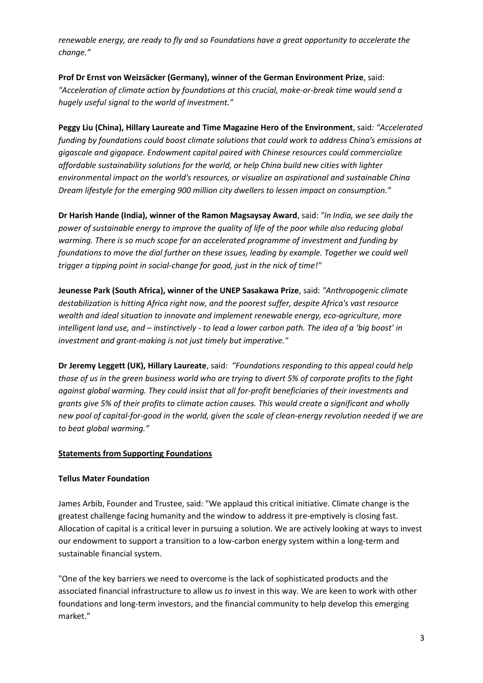*renewable energy, are ready to fly and so Foundations have a great opportunity to accelerate the change."*

**Prof Dr Ernst von Weizsäcker (Germany), winner of the German Environment Prize**, said: "Acceleration of climate action by foundations at this crucial, make-or-break time would send a *hugely useful signal to the world of investment."*

**Peggy Liu (China), Hillary Laureate and Time Magazine Hero of the Environment**, said*: "Accelerated funding by foundations could boost climate solutions that could work to address China's emissions at gigascale and gigapace. Endowment capital paired with Chinese resources could commercialize affordable sustainability solutions for the world, or help China build new cities with lighter environmental impact on the world's resources, or visualize an aspirational and sustainable China Dream lifestyle for the emerging 900 million city dwellers to lessen impact on consumption."*

**Dr Harish Hande (India), winner of the Ramon Magsaysay Award**, said: *"In India, we see daily the power of sustainable energy to improve the quality of life of the poor while also reducing global warming. There is so much scope for an accelerated programme of investment and funding by foundations to move the dial further on these issues, leading by example. Together we could well trigger a tipping point in social-change for good, just in the nick of time!"*

**Jeunesse Park (South Africa), winner of the UNEP Sasakawa Prize**, said: *"Anthropogenic climate destabilization is hitting Africa right now, and the poorest suffer, despite Africa's vast resource wealth and ideal situation to innovate and implement renewable energy, eco-agriculture, more intelligent land use, and – instinctively - to lead a lower carbon path. The idea of a 'big boost' in investment and grant-making is not just timely but imperative."*

**Dr Jeremy Leggett (UK), Hillary Laureate**, said: *"Foundations responding to this appeal could help those of us in the green business world who are trying to divert 5% of corporate profits to the fight against global warming. They could insist that all for-profit beneficiaries of their investments and grants give 5% of their profits to climate action causes. This would create a significant and wholly new pool of capital-for-good in the world, given the scale of clean-energy revolution needed if we are to beat global warming."*

# **Statements from Supporting Foundations**

# **Tellus Mater Foundation**

James Arbib, Founder and Trustee, said: "We applaud this critical initiative. Climate change is the greatest challenge facing humanity and the window to address it pre-emptively is closing fast. Allocation of capital is a critical lever in pursuing a solution. We are actively looking at ways to invest our endowment to support a transition to a low-carbon energy system within a long-term and sustainable financial system.

"One of the key barriers we need to overcome is the lack of sophisticated products and the associated financial infrastructure to allow us *to* invest in this way. We are keen to work with other foundations and long-term investors, and the financial community to help develop this emerging market."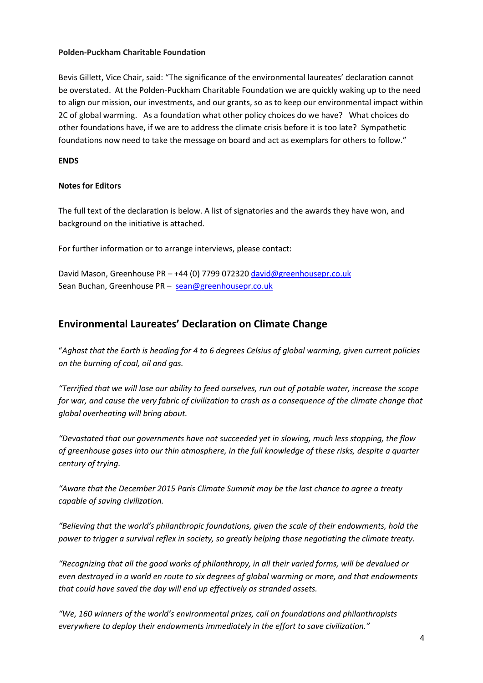#### **Polden-Puckham Charitable Foundation**

Bevis Gillett, Vice Chair, said: "The significance of the environmental laureates' declaration cannot be overstated. At the Polden-Puckham Charitable Foundation we are quickly waking up to the need to align our mission, our investments, and our grants, so as to keep our environmental impact within 2C of global warming. As a foundation what other policy choices do we have? What choices do other foundations have, if we are to address the climate crisis before it is too late? Sympathetic foundations now need to take the message on board and act as exemplars for others to follow."

### **ENDS**

#### **Notes for Editors**

The full text of the declaration is below. A list of signatories and the awards they have won, and background on the initiative is attached.

For further information or to arrange interviews, please contact:

David Mason, Greenhouse PR - +44 (0) 7799 07232[0 david@greenhousepr.co.uk](mailto:david@greenhousepr.co.uk) Sean Buchan, Greenhouse PR – sean@greenhousepr.co.uk

# **Environmental Laureates' Declaration on Climate Change**

"*Aghast that the Earth is heading for 4 to 6 degrees Celsius of global warming, given current policies on the burning of coal, oil and gas.*

*"Terrified that we will lose our ability to feed ourselves, run out of potable water, increase the scope for war, and cause the very fabric of civilization to crash as a consequence of the climate change that global overheating will bring about.*

*"Devastated that our governments have not succeeded yet in slowing, much less stopping, the flow of greenhouse gases into our thin atmosphere, in the full knowledge of these risks, despite a quarter century of trying.*

*"Aware that the December 2015 Paris Climate Summit may be the last chance to agree a treaty capable of saving civilization.*

*"Believing that the world's philanthropic foundations, given the scale of their endowments, hold the power to trigger a survival reflex in society, so greatly helping those negotiating the climate treaty.*

*"Recognizing that all the good works of philanthropy, in all their varied forms, will be devalued or even destroyed in a world en route to six degrees of global warming or more, and that endowments that could have saved the day will end up effectively as stranded assets.*

*"We, 160 winners of the world's environmental prizes, call on foundations and philanthropists everywhere to deploy their endowments immediately in the effort to save civilization."*